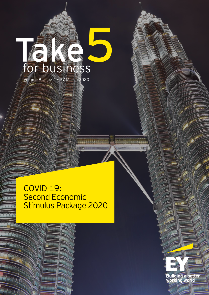# Volume 8 Issue 4 – 27 March 2020 **Take** for business **5**

COVID-19: Second Economic Stimulus Package 2020

<u> 1989 - Frans Leibert, amerikan</u>

**Building a better**<br>working world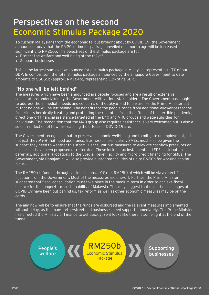# **Perspectives on the second Economic Stimulus Package 2020**

To cushion Malaysians from the economic fallout brought about by COVID-19, the Government announced today that the RM20b stimulus package unveiled one month ago will be increased significantly to RM250b. The objectives of the stimulus package are to:

- ► Protect the welfare and well-being of the *rakyat*
- ► Support businesses

This is the largest sum ever announced for a stimulus package in Malaysia, representing 17% of our GDP. In comparison, the total stimulus package announced by the Singapore Government to date amounts to SGD55b (approx. RM164b), representing 11% of its GDP.

### **"No one will be left behind"**

The measures which have been announced are people-focused and are a result of extensive consultations undertaken by the Government with various stakeholders. The Government has sought to address the immediate needs and concerns of the *rakyat* and to ensure, as the Prime Minister put it, that no one will be left behind. The benefits for the people range from additional allowances for the front-liners heroically treating and protecting the rest of us from the effects of this terrible pandemic, direct one-off financial assistance targeted at the B40 and M40 groups and wage subsidies for individuals. The recognition that the M40 group also requires assistance is very welcomed but is also a solemn reflection of how far-reaching the effects of COVID-19 are.

The Government recognizes that to preserve economic well-being and to mitigate unemployment, it is not just the *rakyat* that need assistance. Businesses, particularly SMEs, must also be given the support they need to weather this storm. Hence, various measures to alleviate cashflow pressures on businesses have been proposed or reiterated. These include tax instalment and EPF contribution deferrals, additional allocations to the Special Relief Facility and micro-credit financing for SMEs. The Government, via Danajamin, will also provide guarantee facilities of up to RM50b for working capital loans.

The RM250b is funded through various means, 10% (i.e. RM25b) of which will be via a direct fiscal injection from the Government. Most of the measures are one-off. Further, the Prime Minister suggested that fiscal consolidation must take place in the medium term in order to achieve fiscal balance for the longer-term sustainability of Malaysia. This may suggest that once the challenges of COVID-19 have been put behind us, tax reform as well as other economic measures may be on the cards.

The aim now will be to ensure that the funds are disbursed and the relevant measures implemented without delay, as the man-on-the-street and businesses need support immediately. The Prime Minister has directed the Ministry of Finance to act quickly, so it looks like there is some light at the end of the tunnel.

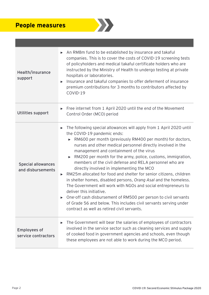## **People measures**



| Health/insurance<br>support                    | An RM8m fund to be established by insurance and takaful<br>companies. This is to cover the costs of COVID-19 screening tests<br>of policyholders and medical takaful certificate holders who are<br>instructed by the Ministry of Health to undergo testing at private<br>hospitals or laboratories.<br>Insurance and takaful companies to offer deferment of insurance<br>▶<br>premium contributions for 3 months to contributors affected by<br>COVID-19                                                                                                                                                                                                                                                                                                                                                                                                                                                                                                        |
|------------------------------------------------|-------------------------------------------------------------------------------------------------------------------------------------------------------------------------------------------------------------------------------------------------------------------------------------------------------------------------------------------------------------------------------------------------------------------------------------------------------------------------------------------------------------------------------------------------------------------------------------------------------------------------------------------------------------------------------------------------------------------------------------------------------------------------------------------------------------------------------------------------------------------------------------------------------------------------------------------------------------------|
| Utilities support                              | $\triangleright$ Free internet from 1 April 2020 until the end of the Movement<br>Control Order (MCO) period                                                                                                                                                                                                                                                                                                                                                                                                                                                                                                                                                                                                                                                                                                                                                                                                                                                      |
| <b>Special allowances</b><br>and disbursements | The following special allowances will apply from 1 April 2020 until<br>$\blacktriangleright$<br>the COVID-19 pandemic ends:<br>RM600 per month (previously RM400 per month) for doctors,<br>$\blacktriangleright$<br>nurses and other medical personnel directly involved in the<br>management and containment of the virus<br>RM200 per month for the army, police, customs, immigration,<br>$\blacktriangleright$<br>members of the civil defense and RELA personnel who are<br>directly involved in implementing the MCO<br>RM25m allocated for food and shelter for senior citizens, children<br>▶<br>in shelter homes, disabled persons, Orang Asal and the homeless.<br>The Government will work with NGOs and social entrepreneurs to<br>deliver this initiative.<br>► One-off cash disbursement of RM500 per person to civil servants<br>of Grade 56 and below. This includes civil servants serving under<br>contract as well as retired civil servants. |
| <b>Employees of</b><br>service contractors     | The Government will bear the salaries of employees of contractors<br>▶<br>involved in the service sector such as cleaning services and supply<br>of cooked food in government agencies and schools, even though<br>these employees are not able to work during the MCO period.                                                                                                                                                                                                                                                                                                                                                                                                                                                                                                                                                                                                                                                                                    |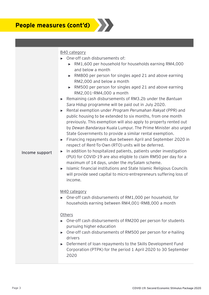

### B40 category

- ► One-off cash disbursements of:
	- ► RM1,600 per household for households earning RM4,000 and below a month
	- ► RM800 per person for singles aged 21 and above earning RM2,000 and below a month
	- ► RM500 per person for singles aged 21 and above earning RM2,001–RM4,000 a month
- ► Remaining cash disbursements of RM3.2b under the *Bantuan Sara Hidup* programme will be paid out in July 2020.
- ► Rental exemption under *Program Perumahan Rakyat* (PPR) and public housing to be extended to six months, from one month previously. This exemption will also apply to property rented out by *Dewan Bandaraya* Kuala Lumpur. The Prime Minister also urged State Governments to provide a similar rental exemption.
- ► Financing repayments due between April and September 2020 in respect of Rent-To-Own (RTO) units will be deferred.

#### **Income support**

- ► In addition to hospitalized patients, patients under investigation (PUI) for COVID-19 are also eligible to claim RM50 per day for a maximum of 14 days, under the *my*Salam scheme.
- ► Islamic financial institutions and State Islamic Religious Councils will provide seed capital to micro-entrepreneurs suffering loss of income.

### M40 category

► One-off cash disbursements of RM1,000 per household, for households earning between RM4,001–RM8,000 a month

#### **Others**

- ► One-off cash disbursements of RM200 per person for students pursuing higher education
- ► One-off cash disbursements of RM500 per person for e-hailing drivers
- ► Deferment of loan repayments to the Skills Development Fund Corporation (PTPK) for the period 1 April 2020 to 30 September 2020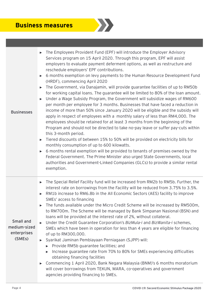### **Business measures**

| <b>Businesses</b>                                  | The Employees Provident Fund (EPF) will introduce the Employer Advisory<br>ь<br>Services program on 15 April 2020. Through this program, EPF will assist<br>employers to evaluate payment deferment options, as well as restructure and<br>reschedule employers' EPF contributions.<br>6 months exemption on levy payments to the Human Resource Development Fund<br>$\blacktriangleright$<br>(HRDF), commencing April 2020<br>The Government, via Danajamin, will provide guarantee facilities of up to RM50b<br>$\blacktriangleright$<br>for working capital loans. The guarantee will be limited to 80% of the loan amount.<br>Under a Wage Subsidy Program, the Government will subsidize wages of RM600<br>$\blacktriangleright$<br>per month per employee for 3 months. Businesses that have faced a reduction in<br>income of more than 50% since January 2020 will be eligible and the subsidy will<br>apply in respect of employees with a monthly salary of less than RM4,000. The<br>employees should be retained for at least 3 months from the beginning of the<br>Program and should not be directed to take no-pay leave or suffer pay-cuts within<br>this 3-month period.<br>Tiered discounts of between 15% to 50% will be provided on electricity bills for<br>$\blacktriangleright$<br>monthly consumption of up to 600 kilowatts.<br>6 months rental exemption will be provided to tenants of premises owned by the<br>$\blacktriangleright$<br>Federal Government. The Prime Minister also urged State Governments, local<br>authorities and Government-Linked Companies (GLCs) to provide a similar rental<br>exemption. |
|----------------------------------------------------|------------------------------------------------------------------------------------------------------------------------------------------------------------------------------------------------------------------------------------------------------------------------------------------------------------------------------------------------------------------------------------------------------------------------------------------------------------------------------------------------------------------------------------------------------------------------------------------------------------------------------------------------------------------------------------------------------------------------------------------------------------------------------------------------------------------------------------------------------------------------------------------------------------------------------------------------------------------------------------------------------------------------------------------------------------------------------------------------------------------------------------------------------------------------------------------------------------------------------------------------------------------------------------------------------------------------------------------------------------------------------------------------------------------------------------------------------------------------------------------------------------------------------------------------------------------------------------------------------------------------------------------------|
| Small and<br>medium-sized<br>enterprises<br>(SMEs) | The Special Relief Facility fund will be increased from RM2b to RM5b. Further, the<br>$\blacktriangleright$<br>interest rate on borrowings from the Facility will be reduced from 3.75% to 3.5%.<br>RM1b increase to RM6.8b in the All Economic Sectors (AES) facility to improve<br>$\blacktriangleright$<br>SMEs' access to financing<br>The funds available under the Micro Credit Scheme will be increased by RM500m,<br>to RM700m. The Scheme will be managed by Bank Simpanan Nasional (BSN) and<br>loans will be provided at the interest rate of 2%, without collateral.<br>Under the Credit Guarantee Corporation's BizMula-i and BizWanita-i schemes,<br>$\blacktriangleright$<br>SMEs which have been in operation for less than 4 years are eligible for financing<br>of up to RM300,000.<br>Syarikat Jaminan Pembiayaan Perniagaan (SJPP) will:<br>ь<br>Provide RM5b guarantee facilities; and<br>$\blacktriangleright$<br>Increase guarantee rate from 70% to 80% for SMEs experiencing difficulties<br>$\blacktriangleright$<br>obtaining financing facilities<br>Commencing 1 April 2020, Bank Negara Malaysia (BNM)'s 6 months moratorium<br>▶<br>will cover borrowings from TEKUN, MARA, co-operatives and government<br>agencies providing financing to SMEs.                                                                                                                                                                                                                                                                                                                                                               |

 $\sum$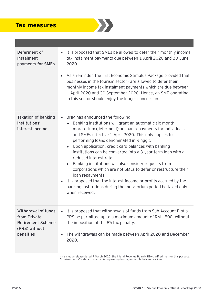### **Tax measures**



| Deferment of<br>instalment<br>payments for SMEs                                                      | It is proposed that SMEs be allowed to defer their monthly income<br>tax instalment payments due between 1 April 2020 and 30 June<br>2020.<br>► As a reminder, the first Economic Stimulus Package provided that<br>businesses in the tourism sector <sup>1</sup> are allowed to defer their<br>monthly income tax instalment payments which are due between<br>1 April 2020 and 30 September 2020. Hence, an SME operating<br>in this sector should enjoy the longer concession.                                                                                                                                                                                                                                                                                    |
|------------------------------------------------------------------------------------------------------|----------------------------------------------------------------------------------------------------------------------------------------------------------------------------------------------------------------------------------------------------------------------------------------------------------------------------------------------------------------------------------------------------------------------------------------------------------------------------------------------------------------------------------------------------------------------------------------------------------------------------------------------------------------------------------------------------------------------------------------------------------------------|
| <b>Taxation of banking</b><br>institutions'<br>interest income                                       | BNM has announced the following:<br>$\blacktriangleright$<br>Banking institutions will grant an automatic six-month<br>moratorium (deferment) on loan repayments for individuals<br>and SMEs effective 1 April 2020. This only applies to<br>performing loans denominated in Ringgit.<br>$\triangleright$ Upon application, credit card balances with banking<br>institutions can be converted into a 3-year term loan with a<br>reduced interest rate.<br>Banking institutions will also consider requests from<br>corporations which are not SMEs to defer or restructure their<br>loan repayments.<br>It is proposed that the interest income or profits accrued by the<br>▶<br>banking institutions during the moratorium period be taxed only<br>when received. |
| <b>Withdrawal of funds</b><br>from Private<br><b>Retirement Scheme</b><br>(PRS) without<br>penalties | It is proposed that withdrawals of funds from Sub-Account B of a<br>ь<br>PRS be permitted up to a maximum amount of RM1,500, without<br>the imposition of the 8% tax penalty.<br>The withdrawals can be made between April 2020 and December<br>▶<br>2020.                                                                                                                                                                                                                                                                                                                                                                                                                                                                                                           |

<sup>1</sup>In a media release dated 9 March 2020, the Inland Revenue Board (IRB) clarified that for this purpose, "tourism sector" refers to companies operating tour agencies, hotels and airlines.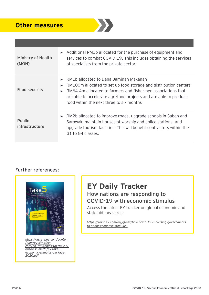### **Other measures**



| Ministry of Health<br>(MOH)     | $\triangleright$ Additional RM1b allocated for the purchase of equipment and<br>services to combat COVID-19. This includes obtaining the services<br>of specialists from the private sector.                                                                                                                                                                           |
|---------------------------------|------------------------------------------------------------------------------------------------------------------------------------------------------------------------------------------------------------------------------------------------------------------------------------------------------------------------------------------------------------------------|
| Food security                   | RM1b allocated to Dana Jaminan Makanan<br>$\blacktriangleright$<br>RM100m allocated to set up food storage and distribution centers<br>$\blacktriangleright$<br>RM64.4m allocated to farmers and fishermen associations that<br>$\blacktriangleright$<br>are able to accelerate agri-food projects and are able to produce<br>food within the next three to six months |
| <b>Public</b><br>infrastructure | $\triangleright$ RM2b allocated to improve roads, upgrade schools in Sabah and<br>Sarawak, maintain houses of worship and police stations, and<br>upgrade tourism facilities. This will benefit contractors within the<br>G1 to G4 classes.                                                                                                                            |

### Further references:



*https://assets.ey.com/content /dam/ey-sites/ey[com/en\\_my/topics/tax/take-5](https://assets.ey.com/content/dam/ey-sites/ey-com/en_my/topics/tax/take-5-business-alerts/ey-take5-economic-stimulus-package-2020.pdf) business-alerts/ey-take5 economic-stimulus-package-2020.pdf*

### **EY Daily Tracker**  How nations are responding to COVID-19 with economic stimulus

Access the latest EY tracker on global economic and state aid measures:

*[https://www.ey.com/en\\_gl/tax/how-covid-19-is-causing-governments](https://www.ey.com/en_gl/tax/how-covid-19-is-causing-governments-to-adopt-economic-stimulus--)to-adopt-economic-stimulus-*